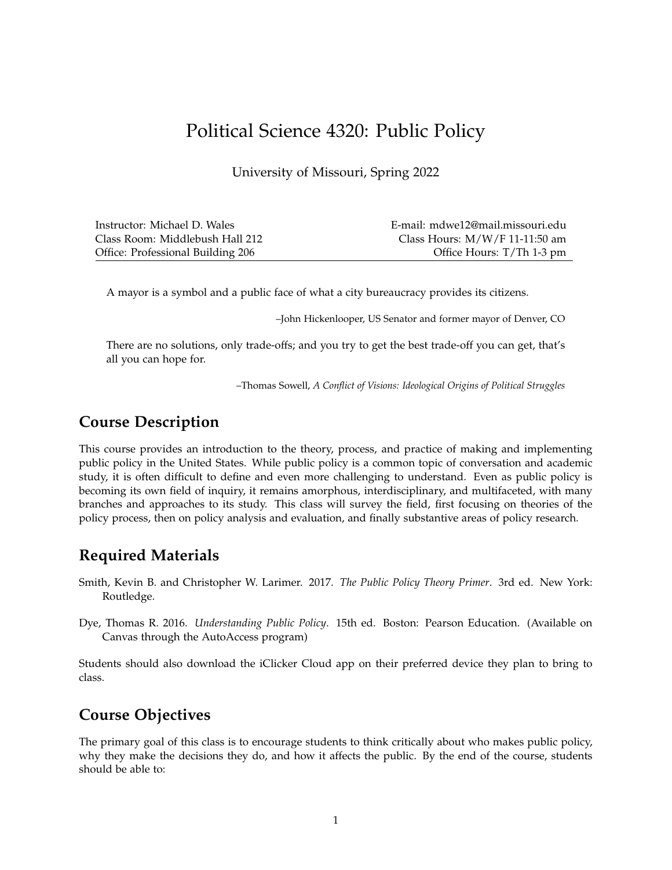# Political Science 4320: Public Policy

University of Missouri, Spring 2022

| Instructor: Michael D. Wales      | E-mail: mdwe12@mail.missouri.edu |
|-----------------------------------|----------------------------------|
| Class Room: Middlebush Hall 212   | Class Hours: $M/W/F$ 11-11:50 am |
| Office: Professional Building 206 | Office Hours: T/Th 1-3 pm        |

A mayor is a symbol and a public face of what a city bureaucracy provides its citizens.

–John Hickenlooper, US Senator and former mayor of Denver, CO

There are no solutions, only trade-offs; and you try to get the best trade-off you can get, that's all you can hope for.

–Thomas Sowell, *A Conflict of Visions: Ideological Origins of Political Struggles*

# **Course Description**

This course provides an introduction to the theory, process, and practice of making and implementing public policy in the United States. While public policy is a common topic of conversation and academic study, it is often difficult to define and even more challenging to understand. Even as public policy is becoming its own field of inquiry, it remains amorphous, interdisciplinary, and multifaceted, with many branches and approaches to its study. This class will survey the field, first focusing on theories of the policy process, then on policy analysis and evaluation, and finally substantive areas of policy research.

# **Required Materials**

- Smith, Kevin B. and Christopher W. Larimer. 2017. *The Public Policy Theory Primer*. 3rd ed. New York: Routledge.
- Dye, Thomas R. 2016. *Understanding Public Policy*. 15th ed. Boston: Pearson Education. (Available on Canvas through the AutoAccess program)

Students should also download the iClicker Cloud app on their preferred device they plan to bring to class.

# **Course Objectives**

The primary goal of this class is to encourage students to think critically about who makes public policy, why they make the decisions they do, and how it affects the public. By the end of the course, students should be able to: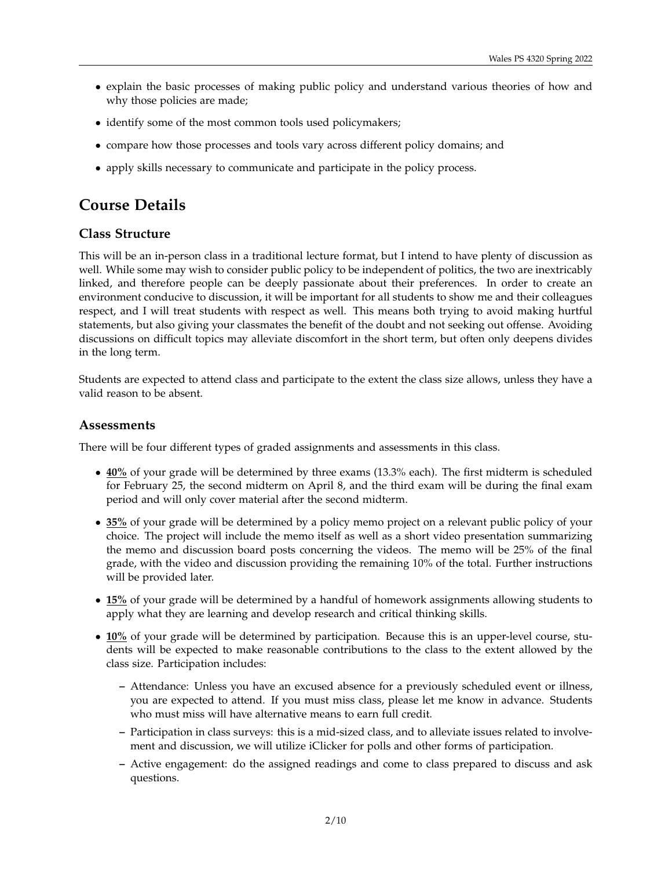- explain the basic processes of making public policy and understand various theories of how and why those policies are made;
- identify some of the most common tools used policymakers;
- compare how those processes and tools vary across different policy domains; and
- apply skills necessary to communicate and participate in the policy process.

# **Course Details**

#### **Class Structure**

This will be an in-person class in a traditional lecture format, but I intend to have plenty of discussion as well. While some may wish to consider public policy to be independent of politics, the two are inextricably linked, and therefore people can be deeply passionate about their preferences. In order to create an environment conducive to discussion, it will be important for all students to show me and their colleagues respect, and I will treat students with respect as well. This means both trying to avoid making hurtful statements, but also giving your classmates the benefit of the doubt and not seeking out offense. Avoiding discussions on difficult topics may alleviate discomfort in the short term, but often only deepens divides in the long term.

Students are expected to attend class and participate to the extent the class size allows, unless they have a valid reason to be absent.

#### **Assessments**

There will be four different types of graded assignments and assessments in this class.

- **40%** of your grade will be determined by three exams (13.3% each). The first midterm is scheduled for February 25, the second midterm on April 8, and the third exam will be during the final exam period and will only cover material after the second midterm.
- **35%** of your grade will be determined by a policy memo project on a relevant public policy of your choice. The project will include the memo itself as well as a short video presentation summarizing the memo and discussion board posts concerning the videos. The memo will be 25% of the final grade, with the video and discussion providing the remaining 10% of the total. Further instructions will be provided later.
- **15%** of your grade will be determined by a handful of homework assignments allowing students to apply what they are learning and develop research and critical thinking skills.
- **10%** of your grade will be determined by participation. Because this is an upper-level course, students will be expected to make reasonable contributions to the class to the extent allowed by the class size. Participation includes:
	- **–** Attendance: Unless you have an excused absence for a previously scheduled event or illness, you are expected to attend. If you must miss class, please let me know in advance. Students who must miss will have alternative means to earn full credit.
	- **–** Participation in class surveys: this is a mid-sized class, and to alleviate issues related to involvement and discussion, we will utilize iClicker for polls and other forms of participation.
	- **–** Active engagement: do the assigned readings and come to class prepared to discuss and ask questions.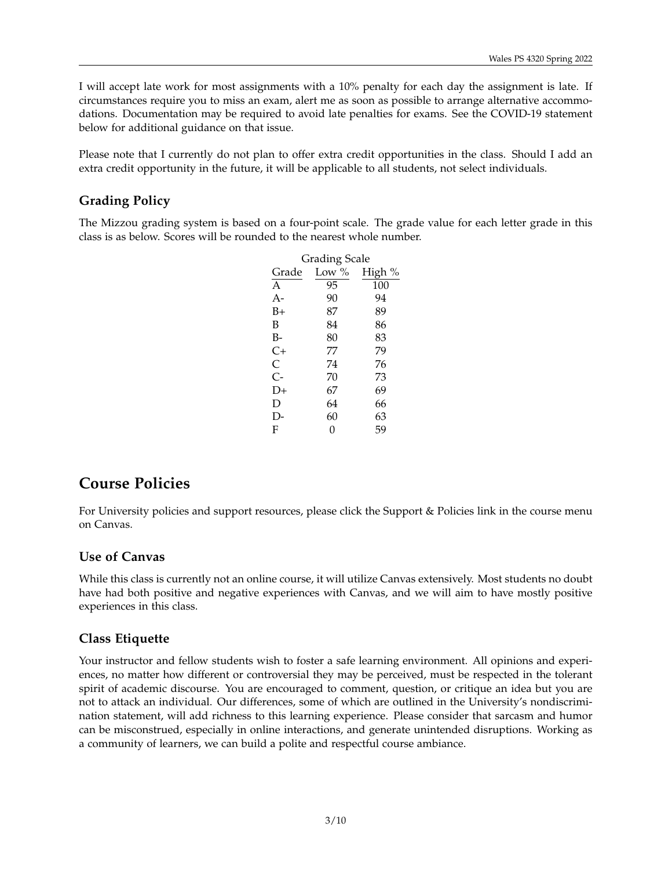I will accept late work for most assignments with a 10% penalty for each day the assignment is late. If circumstances require you to miss an exam, alert me as soon as possible to arrange alternative accommodations. Documentation may be required to avoid late penalties for exams. See the COVID-19 statement below for additional guidance on that issue.

Please note that I currently do not plan to offer extra credit opportunities in the class. Should I add an extra credit opportunity in the future, it will be applicable to all students, not select individuals.

# **Grading Policy**

The Mizzou grading system is based on a four-point scale. The grade value for each letter grade in this class is as below. Scores will be rounded to the nearest whole number.

| Grading Scale |          |        |  |
|---------------|----------|--------|--|
| Grade         | Low $\%$ | High % |  |
| A             | 95       | 100    |  |
| $A -$         | 90       | 94     |  |
| B+            | 87       | 89     |  |
| B             | 84       | 86     |  |
| B-            | 80       | 83     |  |
| $C+$          | 77       | 79     |  |
| C             | 74       | 76     |  |
| $C -$         | 70       | 73     |  |
| D+            | 67       | 69     |  |
| D             | 64       | 66     |  |
| D-            | 60       | 63     |  |
| F             | 0        | 59     |  |

# **Course Policies**

For University policies and support resources, please click the Support & Policies link in the course menu on Canvas.

## **Use of Canvas**

While this class is currently not an online course, it will utilize Canvas extensively. Most students no doubt have had both positive and negative experiences with Canvas, and we will aim to have mostly positive experiences in this class.

# **Class Etiquette**

Your instructor and fellow students wish to foster a safe learning environment. All opinions and experiences, no matter how different or controversial they may be perceived, must be respected in the tolerant spirit of academic discourse. You are encouraged to comment, question, or critique an idea but you are not to attack an individual. Our differences, some of which are outlined in the University's nondiscrimination statement, will add richness to this learning experience. Please consider that sarcasm and humor can be misconstrued, especially in online interactions, and generate unintended disruptions. Working as a community of learners, we can build a polite and respectful course ambiance.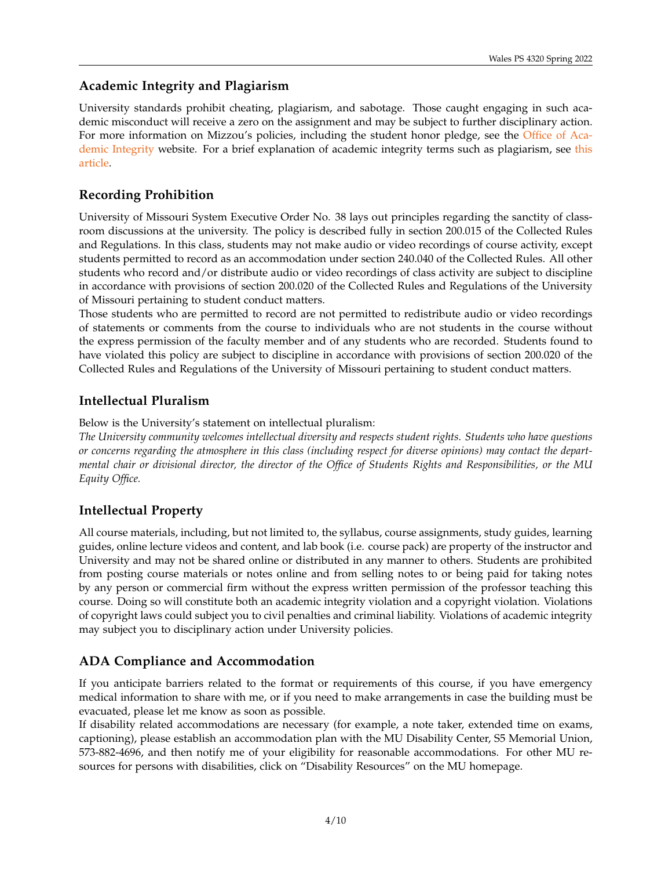## **Academic Integrity and Plagiarism**

University standards prohibit cheating, plagiarism, and sabotage. Those caught engaging in such academic misconduct will receive a zero on the assignment and may be subject to further disciplinary action. For more information on Mizzou's policies, including the student honor pledge, see the [Office of Aca](https://oai.missouri.edu/about/academic-integrity/)[demic Integrity](https://oai.missouri.edu/about/academic-integrity/) website. For a brief explanation of academic integrity terms such as plagiarism, see [this](https://www.usnewsglobaleducation.com/all-advice/academic-integrity-and-plagiarism/) [article.](https://www.usnewsglobaleducation.com/all-advice/academic-integrity-and-plagiarism/)

## **Recording Prohibition**

University of Missouri System Executive Order No. 38 lays out principles regarding the sanctity of classroom discussions at the university. The policy is described fully in section 200.015 of the Collected Rules and Regulations. In this class, students may not make audio or video recordings of course activity, except students permitted to record as an accommodation under section 240.040 of the Collected Rules. All other students who record and/or distribute audio or video recordings of class activity are subject to discipline in accordance with provisions of section 200.020 of the Collected Rules and Regulations of the University of Missouri pertaining to student conduct matters.

Those students who are permitted to record are not permitted to redistribute audio or video recordings of statements or comments from the course to individuals who are not students in the course without the express permission of the faculty member and of any students who are recorded. Students found to have violated this policy are subject to discipline in accordance with provisions of section 200.020 of the Collected Rules and Regulations of the University of Missouri pertaining to student conduct matters.

## **Intellectual Pluralism**

Below is the University's statement on intellectual pluralism:

*The University community welcomes intellectual diversity and respects student rights. Students who have questions or concerns regarding the atmosphere in this class (including respect for diverse opinions) may contact the departmental chair or divisional director, the director of the Office of Students Rights and Responsibilities, or the MU Equity Office.*

## **Intellectual Property**

All course materials, including, but not limited to, the syllabus, course assignments, study guides, learning guides, online lecture videos and content, and lab book (i.e. course pack) are property of the instructor and University and may not be shared online or distributed in any manner to others. Students are prohibited from posting course materials or notes online and from selling notes to or being paid for taking notes by any person or commercial firm without the express written permission of the professor teaching this course. Doing so will constitute both an academic integrity violation and a copyright violation. Violations of copyright laws could subject you to civil penalties and criminal liability. Violations of academic integrity may subject you to disciplinary action under University policies.

## **ADA Compliance and Accommodation**

If you anticipate barriers related to the format or requirements of this course, if you have emergency medical information to share with me, or if you need to make arrangements in case the building must be evacuated, please let me know as soon as possible.

If disability related accommodations are necessary (for example, a note taker, extended time on exams, captioning), please establish an accommodation plan with the MU Disability Center, S5 Memorial Union, 573-882-4696, and then notify me of your eligibility for reasonable accommodations. For other MU resources for persons with disabilities, click on "Disability Resources" on the MU homepage.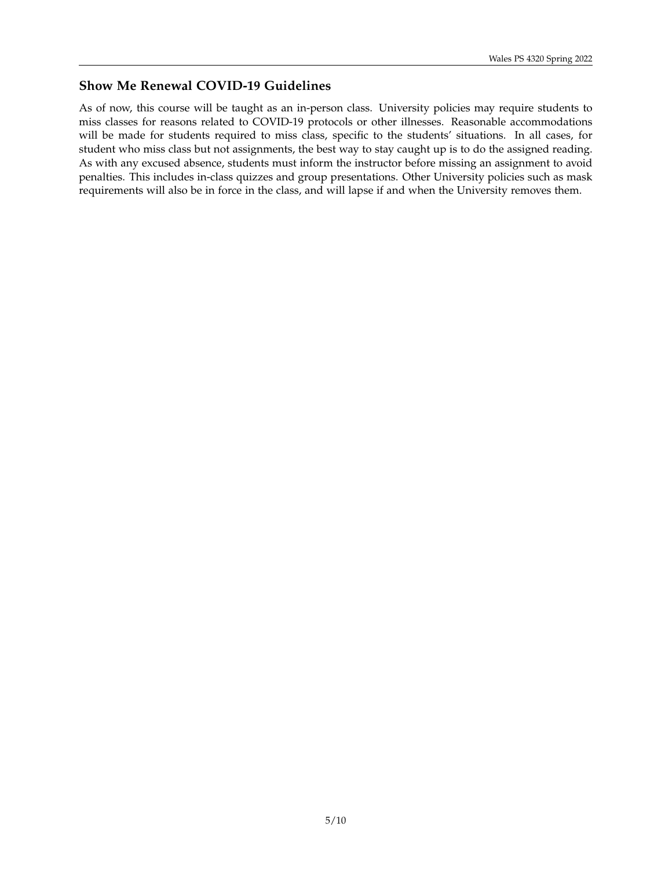## **Show Me Renewal COVID-19 Guidelines**

As of now, this course will be taught as an in-person class. University policies may require students to miss classes for reasons related to COVID-19 protocols or other illnesses. Reasonable accommodations will be made for students required to miss class, specific to the students' situations. In all cases, for student who miss class but not assignments, the best way to stay caught up is to do the assigned reading. As with any excused absence, students must inform the instructor before missing an assignment to avoid penalties. This includes in-class quizzes and group presentations. Other University policies such as mask requirements will also be in force in the class, and will lapse if and when the University removes them.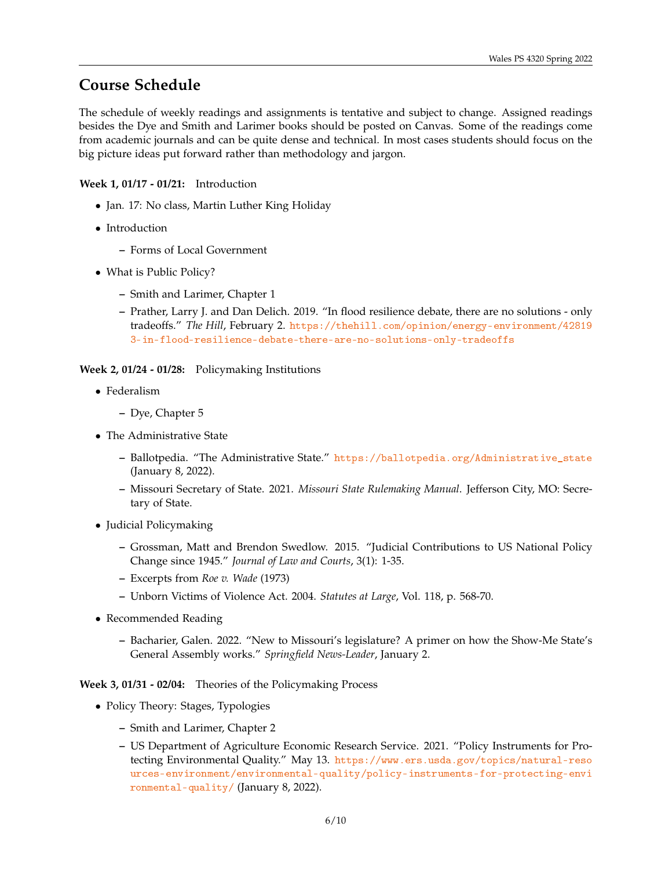# **Course Schedule**

The schedule of weekly readings and assignments is tentative and subject to change. Assigned readings besides the Dye and Smith and Larimer books should be posted on Canvas. Some of the readings come from academic journals and can be quite dense and technical. In most cases students should focus on the big picture ideas put forward rather than methodology and jargon.

### **Week 1, 01/17 - 01/21:** Introduction

- Jan. 17: No class, Martin Luther King Holiday
- Introduction
	- **–** Forms of Local Government
- What is Public Policy?
	- **–** Smith and Larimer, Chapter 1
	- **–** Prather, Larry J. and Dan Delich. 2019. "In flood resilience debate, there are no solutions only tradeoffs." *The Hill*, February 2. [https://thehill.com/opinion/energy-environment/42819](https://thehill.com/opinion/energy-environment/428193-in-flood-resilience-debate-there-are-no-solutions-only-tradeoffs) [3-in-flood-resilience-debate-there-are-no-solutions-only-tradeoffs](https://thehill.com/opinion/energy-environment/428193-in-flood-resilience-debate-there-are-no-solutions-only-tradeoffs)

**Week 2, 01/24 - 01/28:** Policymaking Institutions

- Federalism
	- **–** Dye, Chapter 5
- The Administrative State
	- **–** Ballotpedia. "The Administrative State." [https://ballotpedia.org/Administrative\\_state](https://ballotpedia.org/Administrative_state) (January 8, 2022).
	- **–** Missouri Secretary of State. 2021. *Missouri State Rulemaking Manual*. Jefferson City, MO: Secretary of State.
- Judicial Policymaking
	- **–** Grossman, Matt and Brendon Swedlow. 2015. "Judicial Contributions to US National Policy Change since 1945." *Journal of Law and Courts*, 3(1): 1-35.
	- **–** Excerpts from *Roe v. Wade* (1973)
	- **–** Unborn Victims of Violence Act. 2004. *Statutes at Large*, Vol. 118, p. 568-70.
- Recommended Reading
	- **–** Bacharier, Galen. 2022. "New to Missouri's legislature? A primer on how the Show-Me State's General Assembly works." *Springfield News-Leader*, January 2.

**Week 3, 01/31 - 02/04:** Theories of the Policymaking Process

- Policy Theory: Stages, Typologies
	- **–** Smith and Larimer, Chapter 2
	- **–** US Department of Agriculture Economic Research Service. 2021. "Policy Instruments for Protecting Environmental Quality." May 13. [https://www.ers.usda.gov/topics/natural-reso](https://www.ers.usda.gov/topics/natural-resources-environment/environmental-quality/policy-instruments-for-protecting-environmental-quality/) [urces-environment/environmental-quality/policy-instruments-for-protecting-envi](https://www.ers.usda.gov/topics/natural-resources-environment/environmental-quality/policy-instruments-for-protecting-environmental-quality/) [ronmental-quality/](https://www.ers.usda.gov/topics/natural-resources-environment/environmental-quality/policy-instruments-for-protecting-environmental-quality/) (January 8, 2022).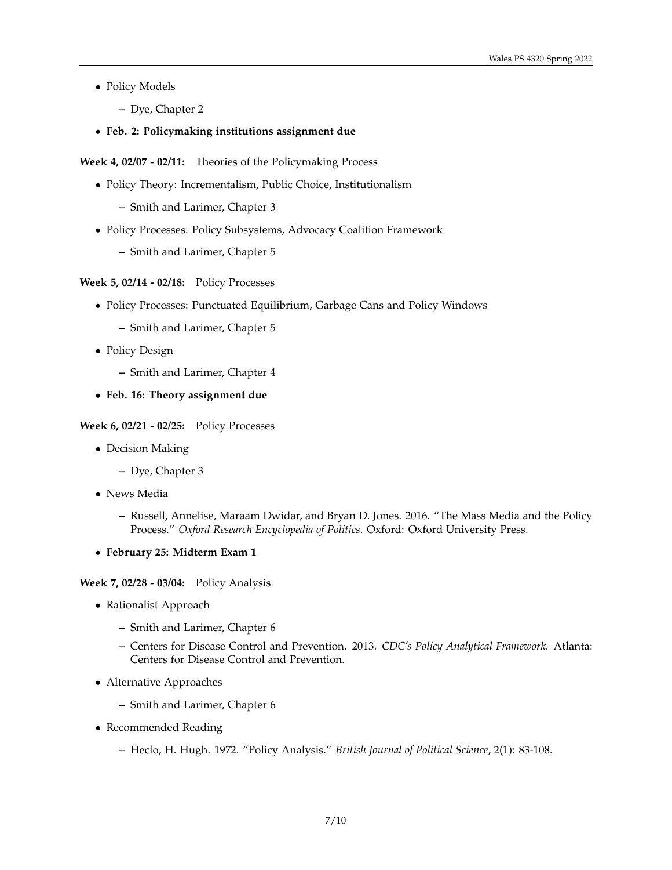- Policy Models
	- **–** Dye, Chapter 2
- **Feb. 2: Policymaking institutions assignment due**

**Week 4, 02/07 - 02/11:** Theories of the Policymaking Process

- Policy Theory: Incrementalism, Public Choice, Institutionalism
	- **–** Smith and Larimer, Chapter 3
- Policy Processes: Policy Subsystems, Advocacy Coalition Framework
	- **–** Smith and Larimer, Chapter 5

#### **Week 5, 02/14 - 02/18:** Policy Processes

- Policy Processes: Punctuated Equilibrium, Garbage Cans and Policy Windows
	- **–** Smith and Larimer, Chapter 5
- Policy Design
	- **–** Smith and Larimer, Chapter 4
- **Feb. 16: Theory assignment due**

#### **Week 6, 02/21 - 02/25:** Policy Processes

- Decision Making
	- **–** Dye, Chapter 3
- News Media
	- **–** Russell, Annelise, Maraam Dwidar, and Bryan D. Jones. 2016. "The Mass Media and the Policy Process." *Oxford Research Encyclopedia of Politics*. Oxford: Oxford University Press.
- **February 25: Midterm Exam 1**

**Week 7, 02/28 - 03/04:** Policy Analysis

- Rationalist Approach
	- **–** Smith and Larimer, Chapter 6
	- **–** Centers for Disease Control and Prevention. 2013. *CDC's Policy Analytical Framework*. Atlanta: Centers for Disease Control and Prevention.
- Alternative Approaches
	- **–** Smith and Larimer, Chapter 6
- Recommended Reading
	- **–** Heclo, H. Hugh. 1972. "Policy Analysis." *British Journal of Political Science*, 2(1): 83-108.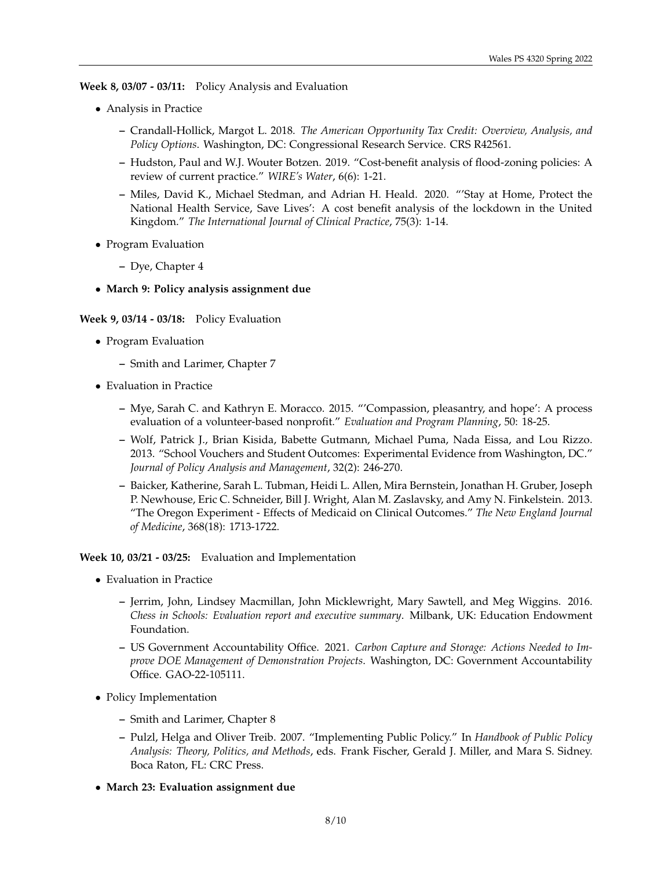**Week 8, 03/07 - 03/11:** Policy Analysis and Evaluation

- Analysis in Practice
	- **–** Crandall-Hollick, Margot L. 2018. *The American Opportunity Tax Credit: Overview, Analysis, and Policy Options*. Washington, DC: Congressional Research Service. CRS R42561.
	- **–** Hudston, Paul and W.J. Wouter Botzen. 2019. "Cost-benefit analysis of flood-zoning policies: A review of current practice." *WIRE's Water*, 6(6): 1-21.
	- **–** Miles, David K., Michael Stedman, and Adrian H. Heald. 2020. "'Stay at Home, Protect the National Health Service, Save Lives': A cost benefit analysis of the lockdown in the United Kingdom." *The International Journal of Clinical Practice*, 75(3): 1-14.
- Program Evaluation
	- **–** Dye, Chapter 4
- **March 9: Policy analysis assignment due**

#### **Week 9, 03/14 - 03/18:** Policy Evaluation

- Program Evaluation
	- **–** Smith and Larimer, Chapter 7
- Evaluation in Practice
	- **–** Mye, Sarah C. and Kathryn E. Moracco. 2015. "'Compassion, pleasantry, and hope': A process evaluation of a volunteer-based nonprofit." *Evaluation and Program Planning*, 50: 18-25.
	- **–** Wolf, Patrick J., Brian Kisida, Babette Gutmann, Michael Puma, Nada Eissa, and Lou Rizzo. 2013. "School Vouchers and Student Outcomes: Experimental Evidence from Washington, DC." *Journal of Policy Analysis and Management*, 32(2): 246-270.
	- **–** Baicker, Katherine, Sarah L. Tubman, Heidi L. Allen, Mira Bernstein, Jonathan H. Gruber, Joseph P. Newhouse, Eric C. Schneider, Bill J. Wright, Alan M. Zaslavsky, and Amy N. Finkelstein. 2013. "The Oregon Experiment - Effects of Medicaid on Clinical Outcomes." *The New England Journal of Medicine*, 368(18): 1713-1722.

**Week 10, 03/21 - 03/25:** Evaluation and Implementation

- Evaluation in Practice
	- **–** Jerrim, John, Lindsey Macmillan, John Micklewright, Mary Sawtell, and Meg Wiggins. 2016. *Chess in Schools: Evaluation report and executive summary*. Milbank, UK: Education Endowment Foundation.
	- **–** US Government Accountability Office. 2021. *Carbon Capture and Storage: Actions Needed to Improve DOE Management of Demonstration Projects*. Washington, DC: Government Accountability Office. GAO-22-105111.
- Policy Implementation
	- **–** Smith and Larimer, Chapter 8
	- **–** Pulzl, Helga and Oliver Treib. 2007. "Implementing Public Policy." In *Handbook of Public Policy Analysis: Theory, Politics, and Methods*, eds. Frank Fischer, Gerald J. Miller, and Mara S. Sidney. Boca Raton, FL: CRC Press.
- **March 23: Evaluation assignment due**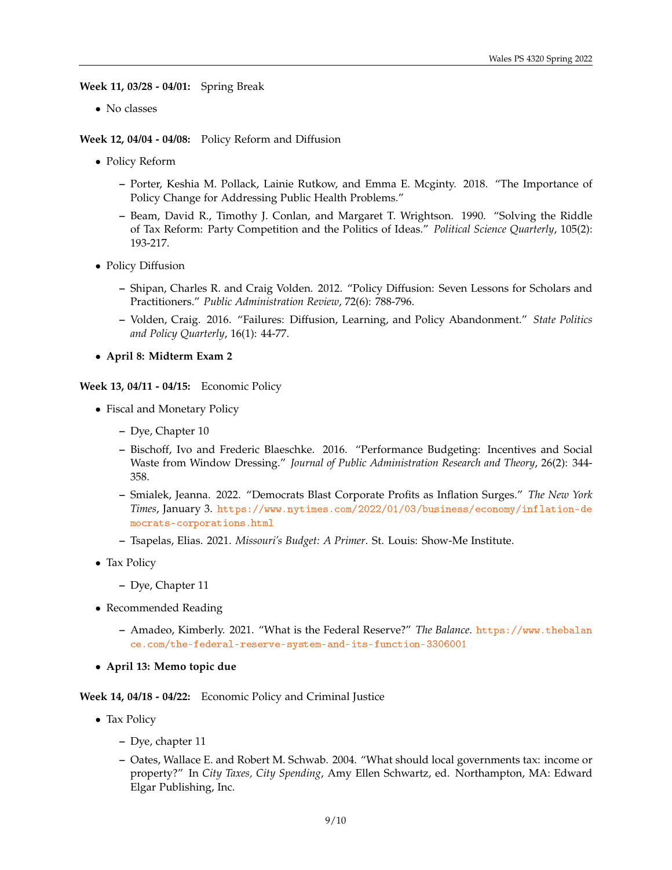**Week 11, 03/28 - 04/01:** Spring Break

• No classes

**Week 12, 04/04 - 04/08:** Policy Reform and Diffusion

- Policy Reform
	- **–** Porter, Keshia M. Pollack, Lainie Rutkow, and Emma E. Mcginty. 2018. "The Importance of Policy Change for Addressing Public Health Problems."
	- **–** Beam, David R., Timothy J. Conlan, and Margaret T. Wrightson. 1990. "Solving the Riddle of Tax Reform: Party Competition and the Politics of Ideas." *Political Science Quarterly*, 105(2): 193-217.
- Policy Diffusion
	- **–** Shipan, Charles R. and Craig Volden. 2012. "Policy Diffusion: Seven Lessons for Scholars and Practitioners." *Public Administration Review*, 72(6): 788-796.
	- **–** Volden, Craig. 2016. "Failures: Diffusion, Learning, and Policy Abandonment." *State Politics and Policy Quarterly*, 16(1): 44-77.
- **April 8: Midterm Exam 2**

**Week 13, 04/11 - 04/15:** Economic Policy

- Fiscal and Monetary Policy
	- **–** Dye, Chapter 10
	- **–** Bischoff, Ivo and Frederic Blaeschke. 2016. "Performance Budgeting: Incentives and Social Waste from Window Dressing." *Journal of Public Administration Research and Theory*, 26(2): 344- 358.
	- **–** Smialek, Jeanna. 2022. "Democrats Blast Corporate Profits as Inflation Surges." *The New York Times*, January 3. [https://www.nytimes.com/2022/01/03/business/economy/inflation-de](https://www.nytimes.com/2022/01/03/business/economy/inflation-democrats-corporations.html) [mocrats-corporations.html](https://www.nytimes.com/2022/01/03/business/economy/inflation-democrats-corporations.html)
	- **–** Tsapelas, Elias. 2021. *Missouri's Budget: A Primer*. St. Louis: Show-Me Institute.
- Tax Policy
	- **–** Dye, Chapter 11
- Recommended Reading
	- **–** Amadeo, Kimberly. 2021. "What is the Federal Reserve?" *The Balance*. [https://www.thebalan](https://www.thebalance.com/the-federal-reserve-system-and-its-function-3306001) [ce.com/the-federal-reserve-system-and-its-function-3306001](https://www.thebalance.com/the-federal-reserve-system-and-its-function-3306001)
- **April 13: Memo topic due**

#### **Week 14, 04/18 - 04/22:** Economic Policy and Criminal Justice

- Tax Policy
	- **–** Dye, chapter 11
	- **–** Oates, Wallace E. and Robert M. Schwab. 2004. "What should local governments tax: income or property?" In *City Taxes, City Spending*, Amy Ellen Schwartz, ed. Northampton, MA: Edward Elgar Publishing, Inc.